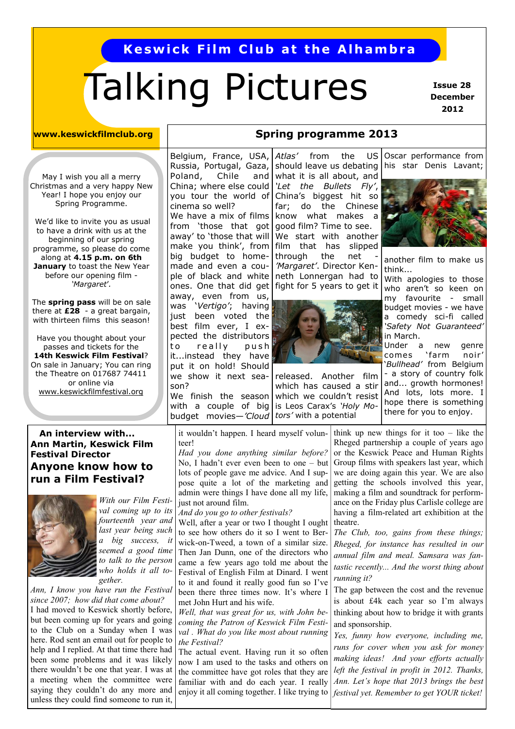# **Keswick Film Club at the Alhambra**

# Talking Pictures

 **Issue 28 December 2012**

#### **www.keswickfilmclub.org**

May I wish you all a merry Christmas and a very happy New Year! I hope you enjoy our Spring Programme.

We'd like to invite you as usual to have a drink with us at the beginning of our spring programme, so please do come along at **4.15 p.m. on 6th January** to toast the New Year before our opening film - *'Margaret*'*.* 

The **spring pass** will be on sale there at **£28** - a great bargain, with thirteen films this season!

Have you thought about your passes and tickets for the **14th Keswick Film Festival**? On sale in January; You can ring the Theatre on 017687 74411 or online via [www.keswickfilmfestival.org](http://www.keswickfilmfestival.org)

#### Belgium, France, USA, Russia, Portugal, Gaza, Poland, Chile and China; where else could you tour the world of cinema so well? We have a mix of films from 'those that got away' to 'those that will make you think', from big budget to homemade and even a couple of black and white ones. One that did get away, even from us, was '*Vertigo'*; having just been voted the best film ever, I expected the distributors to really push it...instead they have put it on hold! Should we show it next season?

budget movies—*'Cloud* | tors' with a potential We finish the season with a couple of big

*Atlas'* from the US should leave us debating what it is all about, and *'Let the Bullets Fly'*, China's biggest hit so far; do the Chinese know what makes a good film? Time to see. We start with another film that has slipped through the net *'Margaret'*. Director Kenneth Lonnergan had to fight for 5 years to get it

**Spring programme 2013**



released. Another film which has caused a stir which we couldn't resist is Leos Carax's *'Holy Mo-*

Oscar performance from his star Denis Lavant;



another film to make us think...

With apologies to those who aren't so keen on my favourite - small budget movies - we have a comedy sci-fi called *'Safety Not Guaranteed'*  in March.

Under a new genre comes 'farm noir' '*Bullhead'* from Belgium - a story of country folk

and... growth hormones! And lots, lots more. I hope there is something there for you to enjoy.

#### **An interview with... Ann Martin, Keswick Film Festival Director Anyone know how to run a Film Festival?**



*With our Film Festival coming up to its fourteenth year and last year being such a big success, it seemed a good time to talk to the person who holds it all together.* 

*Ann, I know you have run the Festival since 2007; how did that come about?* I had moved to Keswick shortly before, but been coming up for years and going to the Club on a Sunday when I was here. Rod sent an email out for people to help and I replied. At that time there had been some problems and it was likely there wouldn't be one that year. I was at a meeting when the committee were saying they couldn't do any more and unless they could find someone to run it,

it wouldn't happen. I heard myself volunteer!

*Had you done anything similar before?* No, I hadn't ever even been to one – but lots of people gave me advice. And I suppose quite a lot of the marketing and admin were things I have done all my life, just not around film.

*And do you go to other festivals?* 

Well, after a year or two I thought I ought to see how others do it so I went to Berwick-on-Tweed, a town of a similar size. Then Jan Dunn, one of the directors who came a few years ago told me about the Festival of English Film at Dinard. I went to it and found it really good fun so I've been there three times now. It's where I met John Hurt and his wife.

*Well, that was great for us, with John becoming the Patron of Keswick Film Festival . What do you like most about running the Festival?* 

The actual event. Having run it so often now I am used to the tasks and others on the committee have got roles that they are familiar with and do each year. I really enjoy it all coming together. I like trying to

think up new things for it too  $-$  like the Rheged partnership a couple of years ago or the Keswick Peace and Human Rights Group films with speakers last year, which we are doing again this year. We are also getting the schools involved this year, making a film and soundtrack for performance on the Friday plus Carlisle college are having a film-related art exhibition at the theatre.

*The Club, too, gains from these things; Rheged, for instance has resulted in our annual film and meal. Samsara was fantastic recently... And the worst thing about running it?* 

The gap between the cost and the revenue is about £4k each year so I'm always thinking about how to bridge it with grants and sponsorship.

*Yes, funny how everyone, including me, runs for cover when you ask for money making ideas! And your efforts actually left the festival in profit in 2012. Thanks, Ann. Let's hope that 2013 brings the best festival yet. Remember to get YOUR ticket!*